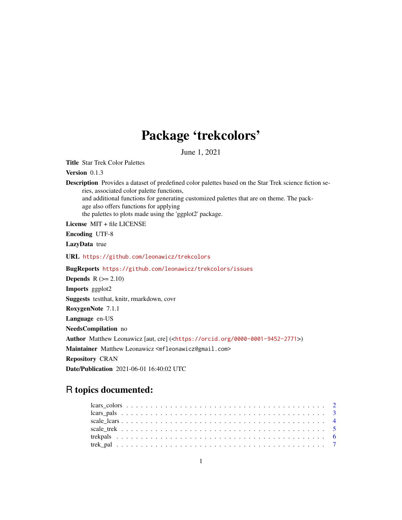## Package 'trekcolors'

June 1, 2021

Title Star Trek Color Palettes

Version 0.1.3

Description Provides a dataset of predefined color palettes based on the Star Trek science fiction series, associated color palette functions, and additional functions for generating customized palettes that are on theme. The package also offers functions for applying

the palettes to plots made using the 'ggplot2' package.

License MIT + file LICENSE

Encoding UTF-8

LazyData true

URL <https://github.com/leonawicz/trekcolors>

BugReports <https://github.com/leonawicz/trekcolors/issues>

**Depends**  $R$  ( $>= 2.10$ ) Imports ggplot2 Suggests testthat, knitr, rmarkdown, covr RoxygenNote 7.1.1 Language en-US NeedsCompilation no Author Matthew Leonawicz [aut, cre] (<<https://orcid.org/0000-0001-9452-2771>>) Maintainer Matthew Leonawicz <mfleonawicz@gmail.com> Repository CRAN Date/Publication 2021-06-01 16:40:02 UTC

## R topics documented: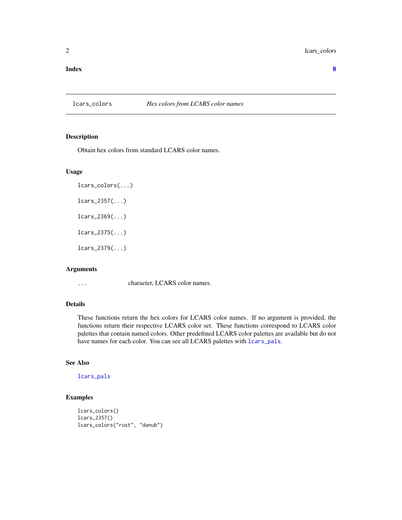#### <span id="page-1-0"></span>**Index** [8](#page-7-0) **8**

#### lcars\_colors *Hex colors from LCARS color names*

## Description

Obtain hex colors from standard LCARS color names.

#### Usage

```
lcars_colors(...)
lcars_2357(\ldots)lcars_2369(\ldots)lcars_2375(...)lcars_2379(...)
```
## Arguments

... character, LCARS color names.

## Details

These functions return the hex colors for LCARS color names. If no argument is provided, the functions return their respective LCARS color set. These functions correspond to LCARS color palettes that contain named colors. Other predefined LCARS color palettes are available but do not have names for each color. You can see all LCARS palettes with [lcars\\_pals](#page-2-1).

## See Also

[lcars\\_pals](#page-2-1)

## Examples

```
lcars_colors()
lcars_2357()
lcars_colors("rust", "danub")
```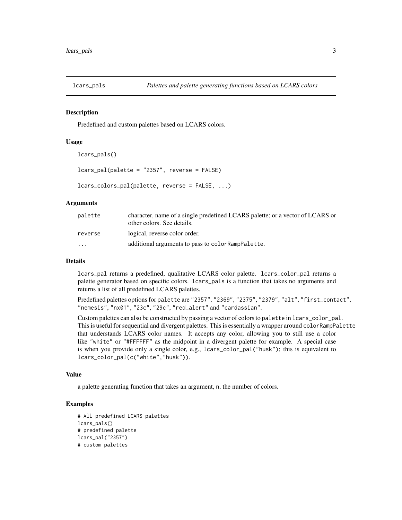<span id="page-2-1"></span><span id="page-2-0"></span>

#### Description

Predefined and custom palettes based on LCARS colors.

#### Usage

```
lcars_pals()
```

```
lcars_pal(palette = "2357", reverse = FALSE)
```

```
lcars_colors_pal(palette, reverse = FALSE, ...)
```
## Arguments

| palette  | character, name of a single predefined LCARS palette; or a vector of LCARS or<br>other colors. See details. |
|----------|-------------------------------------------------------------------------------------------------------------|
| reverse  | logical, reverse color order.                                                                               |
| $\cdots$ | additional arguments to pass to color RampPalette.                                                          |

#### Details

lcars\_pal returns a predefined, qualitative LCARS color palette. lcars\_color\_pal returns a palette generator based on specific colors. lcars\_pals is a function that takes no arguments and returns a list of all predefined LCARS palettes.

Predefined palettes options for palette are "2357", "2369", "2375", "2379", "alt", "first\_contact", "nemesis", "nx01", "23c", "29c", "red\_alert" and "cardassian".

Custom palettes can also be constructed by passing a vector of colors to palette in lcars\_color\_pal. This is useful for sequential and divergent palettes. This is essentially a wrapper around colorRampPalette that understands LCARS color names. It accepts any color, allowing you to still use a color like "white" or "#FFFFFF" as the midpoint in a divergent palette for example. A special case is when you provide only a single color, e.g., lcars\_color\_pal("husk"); this is equivalent to lcars\_color\_pal(c("white","husk")).

#### Value

a palette generating function that takes an argument, n, the number of colors.

## Examples

```
# All predefined LCARS palettes
lcars_pals()
# predefined palette
lcars_pal("2357")
# custom palettes
```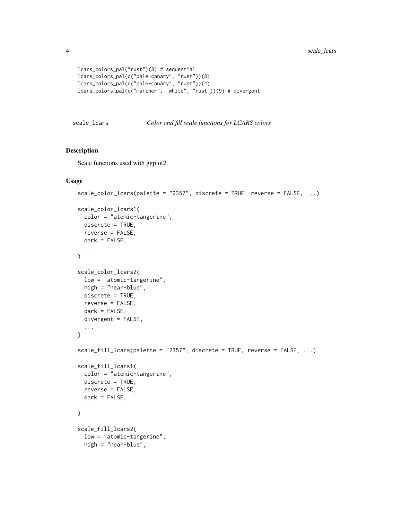```
lcars_colors_pal("rust")(8) # sequential
lcars_colors_pal(c("pale-canary", "rust"))(8)
lcars_colors_pal(c("pale-canary", "rust"))(4)
lcars_colors_pal(c("mariner", "white", "rust"))(9) # divergent
```

```
scale_lcars Color and fill scale functions for LCARS colors
```
## Description

Scale functions used with ggplot2.

#### Usage

```
scale_color_lcars(palette = "2357", discrete = TRUE, reverse = FALSE, ...)
scale_color_lcars1(
 color = "atomic-tangerine",
 discrete = TRUE,
 reverse = FALSE,
 dark = FALSE,
  ...
)
scale_color_lcars2(
  low = "atomic-tangerine",
 high = "near-blue",
 discrete = TRUE,
 reverse = FALSE,
  dark = FALSE,
 divergent = FALSE,
  ...
\mathcal{L}scale_fill_lcars(palette = "2357", discrete = TRUE, reverse = FALSE, ...)
scale_fill_lcars1(
  color = "atomic-tangerine",
 discrete = TRUE,
  reverse = FALSE,
  dark = FALSE,
  ...
\lambdascale_fill_lcars2(
  low = "atomic-tangerine",
  high = "near-blue",
```
<span id="page-3-0"></span>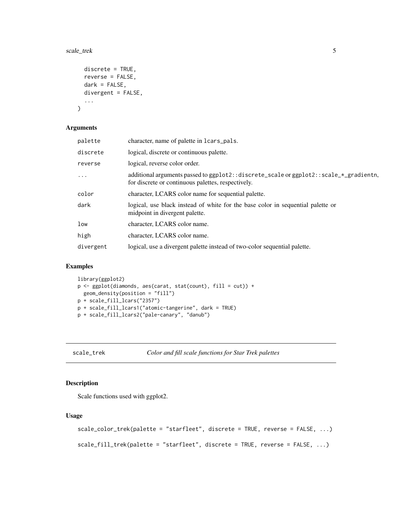#### <span id="page-4-0"></span>scale\_trek 5

```
discrete = TRUE,
  reverse = FALSE,
  dark = FALSE,divergent = FALSE,
  ...
\mathcal{L}
```
#### Arguments

| palette   | character, name of palette in lcars_pals.                                                                                                   |
|-----------|---------------------------------------------------------------------------------------------------------------------------------------------|
| discrete  | logical, discrete or continuous palette.                                                                                                    |
| reverse   | logical, reverse color order.                                                                                                               |
| $\cdots$  | additional arguments passed to ggplot2::discrete_scale or ggplot2::scale_*_gradientn,<br>for discrete or continuous palettes, respectively. |
| color     | character, LCARS color name for sequential palette.                                                                                         |
| dark      | logical, use black instead of white for the base color in sequential palette or<br>midpoint in divergent palette.                           |
| low       | character, LCARS color name.                                                                                                                |
| high      | character, LCARS color name.                                                                                                                |
| divergent | logical, use a divergent palette instead of two-color sequential palette.                                                                   |

## Examples

```
library(ggplot2)
p <- ggplot(diamonds, aes(carat, stat(count), fill = cut)) +
  geom_density(position = "fill")
p + scale_fill_lcars("2357")
p + scale_fill_lcars1("atomic-tangerine", dark = TRUE)
p + scale_fill_lcars2("pale-canary", "danub")
```
scale\_trek *Color and fill scale functions for Star Trek palettes*

## Description

Scale functions used with ggplot2.

## Usage

```
scale_color_trek(palette = "starfleet", discrete = TRUE, reverse = FALSE, ...)
scale_fill_trek(palette = "starfleet", discrete = TRUE, reverse = FALSE, ...)
```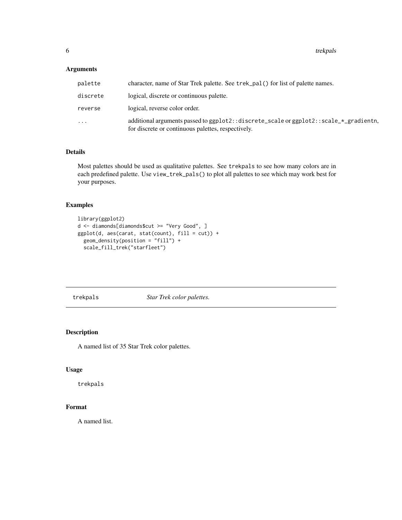<span id="page-5-0"></span>6 trekpals and the contract of the contract of the contract of the contract of the contract of the contract of the contract of the contract of the contract of the contract of the contract of the contract of the contract of

## Arguments

| palette  | character, name of Star Trek palette. See trek_pal() for list of palette names.                                                             |
|----------|---------------------------------------------------------------------------------------------------------------------------------------------|
| discrete | logical, discrete or continuous palette.                                                                                                    |
| reverse  | logical, reverse color order.                                                                                                               |
| .        | additional arguments passed to ggplot2::discrete_scale or ggplot2::scale_*_gradientn,<br>for discrete or continuous palettes, respectively. |

## Details

Most palettes should be used as qualitative palettes. See trekpals to see how many colors are in each predefined palette. Use view\_trek\_pals() to plot all palettes to see which may work best for your purposes.

## Examples

```
library(ggplot2)
d <- diamonds[diamonds$cut >= "Very Good", ]
ggplot(d, aes(carat, stat(count), fill = cut)) +geom_density(position = "fill") +
  scale_fill_trek("starfleet")
```
trekpals *Star Trek color palettes.*

## Description

A named list of 35 Star Trek color palettes.

## Usage

trekpals

## Format

A named list.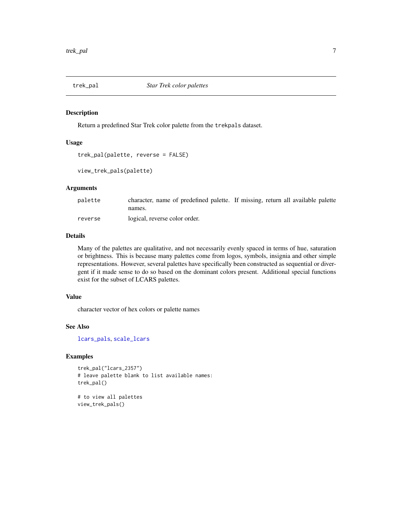<span id="page-6-0"></span>

## Description

Return a predefined Star Trek color palette from the trekpals dataset.

#### Usage

```
trek_pal(palette, reverse = FALSE)
```

```
view_trek_pals(palette)
```
## Arguments

| palette | character, name of predefined palette. If missing, return all available palette |  |
|---------|---------------------------------------------------------------------------------|--|
|         | names.                                                                          |  |
| reverse | logical, reverse color order.                                                   |  |

## Details

Many of the palettes are qualitative, and not necessarily evenly spaced in terms of hue, saturation or brightness. This is because many palettes come from logos, symbols, insignia and other simple representations. However, several palettes have specifically been constructed as sequential or divergent if it made sense to do so based on the dominant colors present. Additional special functions exist for the subset of LCARS palettes.

## Value

character vector of hex colors or palette names

#### See Also

[lcars\\_pals](#page-2-1), [scale\\_lcars](#page-3-1)

## Examples

```
trek_pal("lcars_2357")
# leave palette blank to list available names:
trek_pal()
```

```
# to view all palettes
view_trek_pals()
```